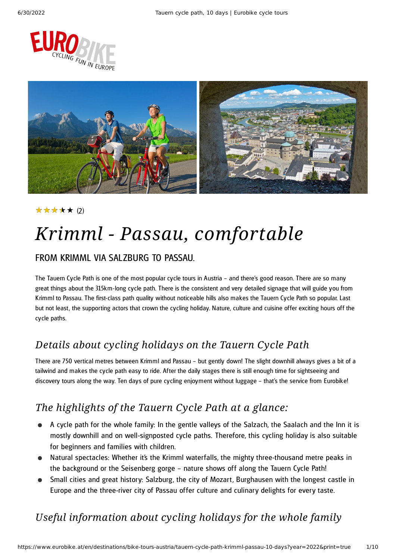



#### ★★★★★ (2)

# *Krimml - Passau, comfortable*

### FROM KRIMML VIA SAL ZBURG TO PASSAU.

The Tauern Cycle Path is one of the most popular cycle tours in Austria – and there's good reason. There are so many great things about the 315km-long cycle path. There is the consistent and very detailed signage that will guide you from Krimml to Passau. The first-class path quality without noticeable hills also makes the Tauern Cycle Path so popular. Last but not least, the supporting actors that crown the cycling holiday. Nature, culture and cuisine offer exciting hours off the cycle paths.

### *Details about cycling holidays on the Tauern Cycle Path*

There are 750 vertical metres between Krimml and Passau – but gently down! The slight downhill always gives a bit of a tailwind and makes the cycle path easy to ride. After the daily stages there is still enough time for sightseeing and discovery tours along the way. Ten days of pure cycling enjoyment without luggage – that's the service from Eurobike!

### *The highlights of the Tauern Cycle Path at a glance:*

- A cycle path for the whole family: In the gentle valleys of the Salzach, the Saalach and the Inn it is mostly downhill and on well-signposted cycle paths. Therefore, this cycling holiday is also suitable for beginners and families with children.
- Natural spectacles: Whether it's the Krimml waterfalls, the mighty three-thousand metre peaks in the background or the Seisenberg gorge – nature shows off along the Tauern Cycle Path!
- Small cities and great history: Salzburg, the city of Mozart, Burghausen with the longest castle in Europe and the three-river city of Passau offer culture and culinary delights for every taste.

### *Useful information about cycling holidays for the whole family*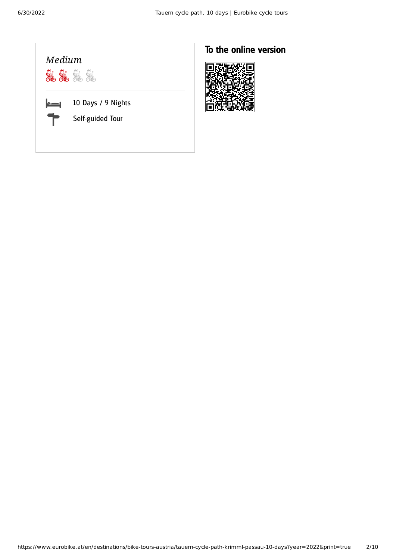

### To the online version

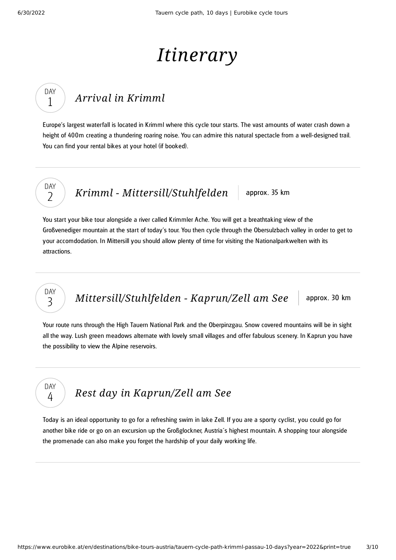# *Itinerary*

## *Arrival in [Krimml](#page-2-0)*

<span id="page-2-0"></span>Europe's largest waterfall is located in Krimml where this cycle tour starts. The vast amounts of water crash down a height of 400m creating a thundering roaring noise. You can admire this natural spectacle from a well-designed trail. You can find your rental bikes at your hotel (if booked).

DAY  $\overline{\phantom{a}}$ 

DAY 1

*Krimml - [Mittersill/Stuhlfelden](#page-2-1)* approx. 35 km

<span id="page-2-1"></span>You start your bike tour alongside a river called Krimmler Ache. You will get a breathtaking view of the Großvenediger mountain at the start of today's tour. You then cycle through the Obersulzbach valley in order to get to your accomdodation. In Mittersill you should allow plenty of time for visiting the Nationalparkwelten with its attractions.

DAY 3

DAY 4

*[Mittersill/Stuhlfelden](#page-2-2) - Kaprun/Zell am See* approx. 30 km

<span id="page-2-2"></span>Your route runs through the High Tauern National Park and the Oberpinzgau. Snow covered mountains will be in sight all the way. Lush green meadows alternate with lovely small villages and offer fabulous scenery. In Kaprun you have the possibility to view the Alpine reservoirs.

*Rest day in [Kaprun/Zell](#page-2-3) am See*

<span id="page-2-3"></span>Today is an ideal opportunity to go for a refreshing swim in lake Zell. If you are a sporty cyclist, you could go for another bike ride or go on an excursion up the Großglockner, Austria´s highest mountain. A shopping tour alongside the promenade can also make you forget the hardship of your daily working life.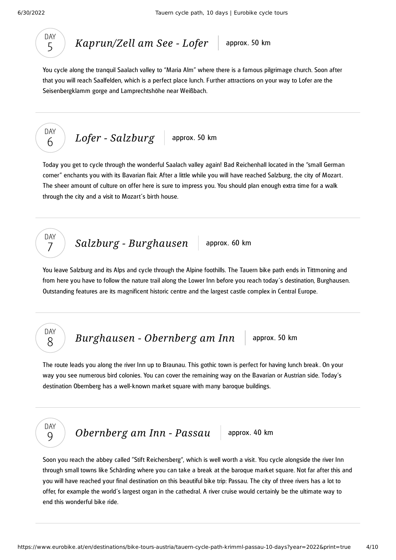

*[Kaprun/Zell](#page-3-0) am See - Lofer* approx. 50 km

<span id="page-3-0"></span>You cycle along the tranquil Saalach valley to "Maria Alm" where there is a famous pilgrimage church. Soon after that you will reach Saalfelden, which is a perfect place lunch. Further attractions on your way to Lofer are the Seisenbergklamm gorge and Lamprechtshöhe near Weißbach.

$$
\begin{array}{|c|c|c|c|c|}\n\hline\n\text{DAY} & \text{Loffer-Salzburg} & \text{approx. 50 km} \\
\hline\n6 & & & \\
\hline\n\end{array}
$$

<span id="page-3-1"></span>Today you get to cycle through the wonderful Saalach valley again! Bad Reichenhall located in the "small German corner" enchants you with its Bavarian flair. After a little while you will have reached Salzburg , the city of Mozart. The sheer amount of culture on offer here is sure to impress you. You should plan enough extra time for a walk through the city and a visit to Mozart´s birth house.

*Salzburg* - *[Burghausen](#page-3-2)* approx. 60 km

<span id="page-3-2"></span>You leave Salzburg and its Alps and cycle through the Alpine foothills. The Tauern bike path ends in Tittmoning and from here you have to follow the nature trail along the Lower Inn before you reach today´s destination, Burghausen. Outstanding features are its magnificent historic centre and the largest castle complex in Central Europe.

### DAY 8

DAY 7

*[Burghausen](#page-3-3) - Obernberg am Inn* approx. 50 km

<span id="page-3-3"></span>The route leads you along the river Inn up to Braunau. This gothic town is perfect for having lunch break . On your way you see numerous bird colonies. You can cover the remaining way on the Bavarian or Austrian side. Today's destination Obernberg has a well-known market square with many baroque buildings.



*[Obernberg](#page-3-4) am Inn - Passau* approx. 40 km

<span id="page-3-4"></span>Soon you reach the abbey called "Stift Reichersberg", which is well worth a visit. You cycle alongside the river Inn through small towns like Schärding where you can take a break at the baroque market square. Not far after this and you will have reached your final destination on this beautiful bike trip: Passau. The city of three rivers has a lot to offer, for example the world´s largest organ in the cathedral. A river cruise would certainly be the ultimate way to end this wonderful bike ride.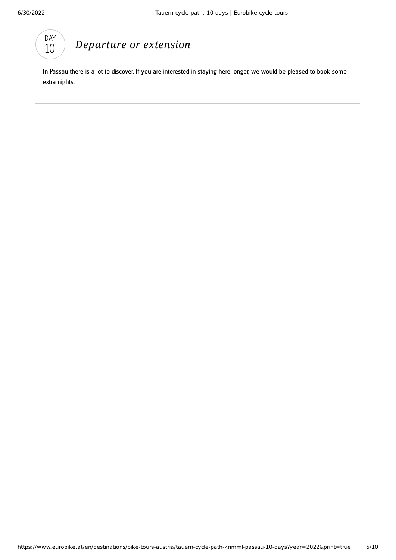

### *[Departure](#page-4-0) or extension*

<span id="page-4-0"></span>In Passau there is a lot to discover. If you are interested in staying here longer, we would be pleased to book some extra nights.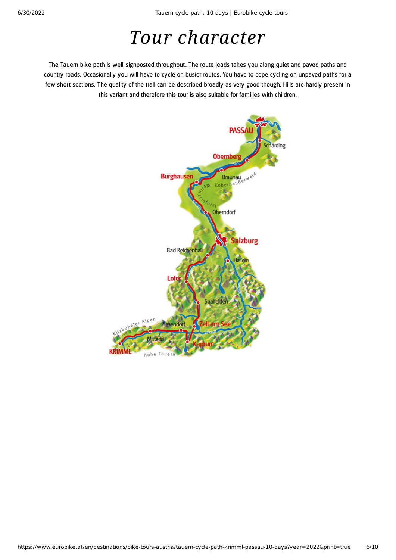## *Tour character*

The Tauern bike path is well-signposted throughout. The route leads takes you along quiet and paved paths and country roads. Occasionally you will have to cycle on busier routes. You have to cope cycling on unpaved paths for a few short sections. The quality of the trail can be described broadly as very good though. Hills are hardly present in this variant and therefore this tour is also suitable for families with children.

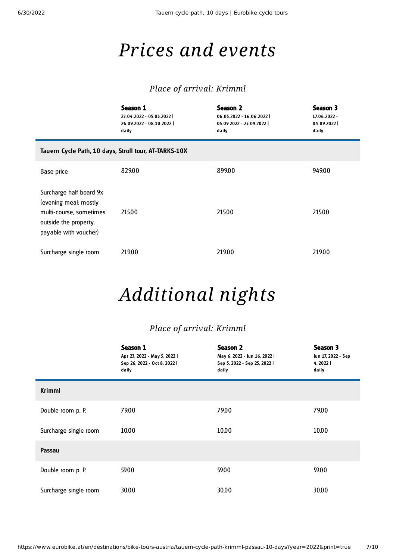## *Prices and events*

### *Place of arrival: Krimml*

|                                                                                                                               | Season 1<br>23.04.2022 - 05.05.2022  <br>26.09.2022 - 08.10.2022  <br>daily | <b>Season 2</b><br>06.05.2022 - 16.06.2022  <br>05.09.2022 - 25.09.2022  <br>daily | Season 3<br>17.06.2022 -<br>04.09.2022<br>daily |  |  |
|-------------------------------------------------------------------------------------------------------------------------------|-----------------------------------------------------------------------------|------------------------------------------------------------------------------------|-------------------------------------------------|--|--|
| Tauern Cycle Path, 10 days, Stroll tour, AT-TARKS-10X                                                                         |                                                                             |                                                                                    |                                                 |  |  |
| Base price                                                                                                                    | 829.00                                                                      | 899.00                                                                             | 949.00                                          |  |  |
| Surcharge half board 9x<br>(evening meal: mostly<br>multi-course, sometimes<br>outside the property,<br>payable with voucher) | 215.00                                                                      | 215.00                                                                             | 215.00                                          |  |  |
| Surcharge single room                                                                                                         | 219.00                                                                      | 219.00                                                                             | 219.00                                          |  |  |

## *Additional nights*

### *Place of arrival: Krimml*

|                       | <b>Season 1</b><br>Apr 23, 2022 - May 5, 2022  <br>Sep 26, 2022 - Oct 8, 2022  <br>daily | <b>Season 2</b><br>May 6, 2022 - Jun 16, 2022  <br>Sep 5, 2022 - Sep 25, 2022  <br>daily | Season 3<br>Jun 17, 2022 - Sep<br>4, 2022  <br>daily |
|-----------------------|------------------------------------------------------------------------------------------|------------------------------------------------------------------------------------------|------------------------------------------------------|
| <b>Krimml</b>         |                                                                                          |                                                                                          |                                                      |
| Double room p. P.     | 79.00                                                                                    | 79.00                                                                                    | 79.00                                                |
| Surcharge single room | 10.00                                                                                    | 10.00                                                                                    | 10.00                                                |
| Passau                |                                                                                          |                                                                                          |                                                      |
| Double room p. P.     | 59.00                                                                                    | 59.00                                                                                    | 59.00                                                |
| Surcharge single room | 30.00                                                                                    | 30.00                                                                                    | 30.00                                                |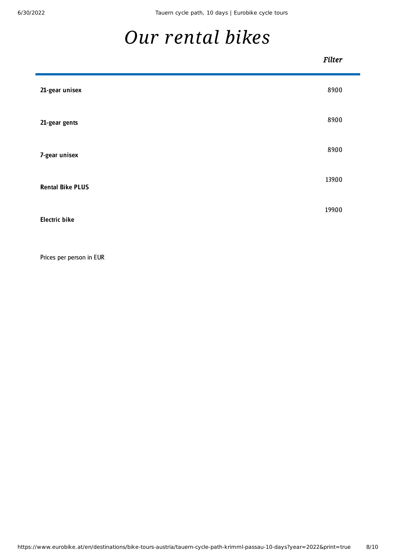<span id="page-7-0"></span>Ē

## *Our [rental](#page-7-0) bikes*

#### *Filter*

| 21-gear unisex          | 89.00  |
|-------------------------|--------|
| 21-gear gents           | 89.00  |
| 7-gear unisex           | 89.00  |
| <b>Rental Bike PLUS</b> | 139.00 |
| <b>Electric bike</b>    | 199.00 |

Prices per person in EUR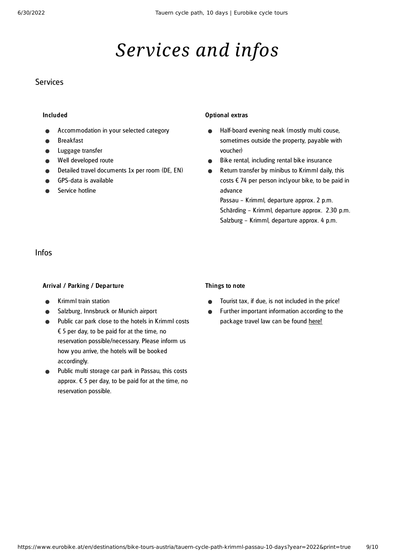## *Services and infos*

#### **Services**

#### Included

- Accommodation in your selected category
- Breakfast
- Luggage transfer
- Well developed route
- Detailed travel documents 1x per room (DE, EN)
- GPS-data is available
- Service hotline

#### Optional extras

- Half-board evening neak (mostly multi couse,  $\bullet$ sometimes outside the property, payable with voucher)
- Bike rental, including rental bike insurance  $\bullet$
- Return transfer by minibus to Krimml daily, this  $\bullet$ costs  $\epsilon$  74 per person incl.your bike, to be paid in advance

Passau – Krimml, departure approx. 2 p.m. Schärding – Krimml, departure approx. 2.30 p.m. Salzburg – Krimml, departure approx. 4 p.m.

#### Infos

#### Arrival / Parking / Departure

- Krimml train station
- Salzburg, Innsbruck or Munich airport
- Public car park close to the hotels in Krimml costs  $\epsilon$  5 per day, to be paid for at the time, no reservation possible/necessary. Please inform us how you arrive, the hotels will be booked accordingly.
- Public multi storage car park in Passau, this costs approx.  $\epsilon$  5 per day, to be paid for at the time, no reservation possible.

#### Things to note

- Tourist tax, if due, is not included in the price!  $\bullet$
- Further important information according to the  $\bullet$ package travel law can be found [here](https://www.eurobike.at/en/travel-information/before-the-tour/pci)!